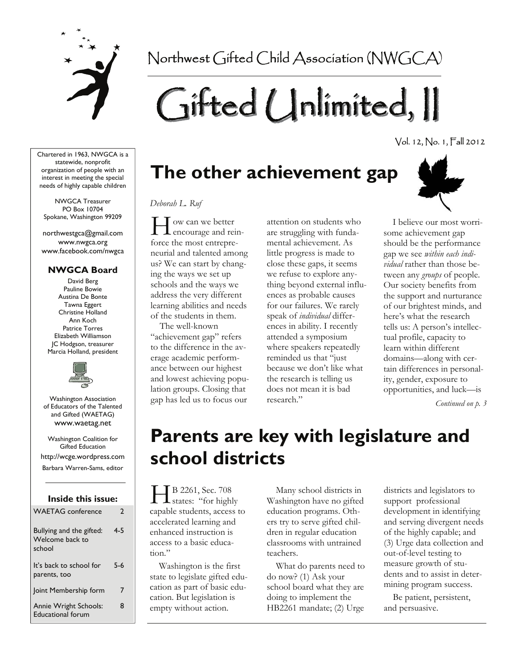

Northwest Gifted Child Association (NWGCA)

# Gifted Unlimited, II

Vol. 12, No. 1, Fall 2012

Chartered in 1963, NWGCA is a statewide, nonprofit organization of people with an interest in meeting the special needs of highly capable children

NWGCA Treasurer PO Box 10704 Spokane, Washington 99209

northwestgca@gmail.com www.nwgca.org www.facebook.com/nwgca

# **NWGCA Board**

David Berg Pauline Bowie Austina De Bonte Tawna Eggert Christine Holland Ann Koch Patrice Torres Elizabeth Williamson JC Hodgson, treasurer Marcia Holland, president



Washington Association of Educators of the Talented and Gifted (WAETAG) www.waetag.net

Washington Coalition for Gifted Education http://wcge.wordpress.com Barbara Warren-Sams, editor

# **Inside this issue:**

| <b>WAETAG</b> conference                              | $\mathbf{c}$ |
|-------------------------------------------------------|--------------|
| Bullying and the gifted:<br>Welcome back to<br>school | 4-5          |
| It's back to school for<br>parents, too               | 5-6          |
| Joint Membership form                                 | 7            |
| Annie Wright Schools:<br><b>Educational forum</b>     | 8            |

# **The other achievement gap**



 $\prod$  ow can we better<br>encourage and reinforce the most entrepreneurial and talented among us? We can start by changing the ways we set up schools and the ways we address the very different learning abilities and needs of the students in them.

 The well-known "achievement gap" refers to the difference in the average academic performance between our highest and lowest achieving population groups. Closing that gap has led us to focus our

attention on students who are struggling with fundamental achievement. As little progress is made to close these gaps, it seems we refuse to explore anything beyond external influences as probable causes for our failures. We rarely speak of *individual* differences in ability. I recently attended a symposium where speakers repeatedly reminded us that "just because we don't like what the research is telling us does not mean it is bad research."



 I believe our most worrisome achievement gap should be the performance gap we see *within each individual* rather than those between any *groups* of people. Our society benefits from the support and nurturance of our brightest minds, and here's what the research tells us: A person's intellectual profile, capacity to learn within different domains—along with certain differences in personality, gender, exposure to opportunities, and luck—is

*Continued on p. 3* 

# **Parents are key with legislature and school districts**

H B 2261, Sec. 708<br>states: "for highly capable students, access to accelerated learning and enhanced instruction is access to a basic education."

 Washington is the first state to legislate gifted education as part of basic education. But legislation is empty without action.

 Many school districts in Washington have no gifted education programs. Others try to serve gifted children in regular education classrooms with untrained teachers.

 What do parents need to do now? (1) Ask your school board what they are doing to implement the HB2261 mandate; (2) Urge

districts and legislators to support professional development in identifying and serving divergent needs of the highly capable; and (3) Urge data collection and out-of-level testing to measure growth of students and to assist in determining program success.

 Be patient, persistent, and persuasive.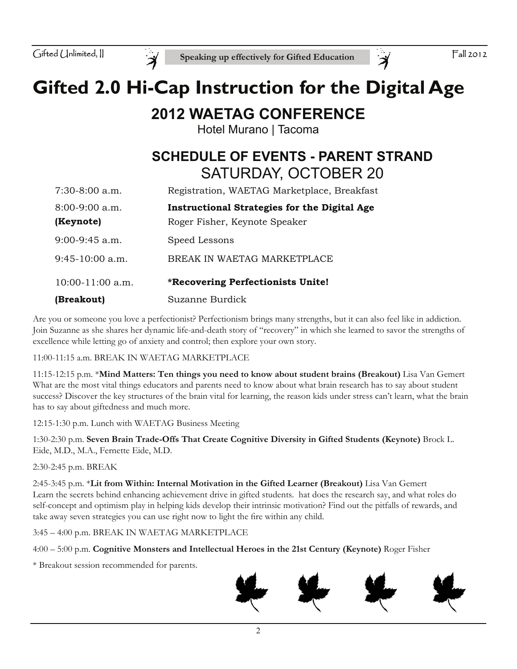

# **Gifted 2.0 Hi-Cap Instruction for the Digital Age**

# **2012 WAETAG CONFERENCE**

Hotel Murano | Tacoma

# **SCHEDULE OF EVENTS - PARENT STRAND** SATURDAY, OCTOBER 20

| $7:30-8:00$ a.m.   | Registration, WAETAG Marketplace, Breakfast         |
|--------------------|-----------------------------------------------------|
| $8:00-9:00$ a.m.   | <b>Instructional Strategies for the Digital Age</b> |
| (Keynote)          | Roger Fisher, Keynote Speaker                       |
| $9:00-9:45$ a.m.   | Speed Lessons                                       |
| $9:45-10:00$ a.m.  | BREAK IN WAETAG MARKETPLACE                         |
| $10:00-11:00$ a.m. | *Recovering Perfectionists Unite!                   |
| (Breakout)         | Suzanne Burdick                                     |

Are you or someone you love a perfectionist? Perfectionism brings many strengths, but it can also feel like in addiction. Join Suzanne as she shares her dynamic life-and-death story of "recovery" in which she learned to savor the strengths of excellence while letting go of anxiety and control; then explore your own story.

11:00-11:15 a.m. BREAK IN WAETAG MARKETPLACE

11:15-12:15 p.m. \***Mind Matters: Ten things you need to know about student brains (Breakout)** Lisa Van Gemert What are the most vital things educators and parents need to know about what brain research has to say about student success? Discover the key structures of the brain vital for learning, the reason kids under stress can't learn, what the brain has to say about giftedness and much more.

12:15-1:30 p.m. Lunch with WAETAG Business Meeting

1:30-2:30 p.m. **Seven Brain Trade-Offs That Create Cognitive Diversity in Gifted Students (Keynote)** Brock L. Eide, M.D., M.A., Fernette Eide, M.D.

2:30-2:45 p.m. BREAK

2:45-3:45 p.m. \***Lit from Within: Internal Motivation in the Gifted Learner (Breakout)** Lisa Van Gemert Learn the secrets behind enhancing achievement drive in gifted students. hat does the research say, and what roles do self-concept and optimism play in helping kids develop their intrinsic motivation? Find out the pitfalls of rewards, and take away seven strategies you can use right now to light the fire within any child.

3:45 – 4:00 p.m. BREAK IN WAETAG MARKETPLACE

4:00 – 5:00 p.m. **Cognitive Monsters and Intellectual Heroes in the 21st Century (Keynote)** Roger Fisher

\* Breakout session recommended for parents.

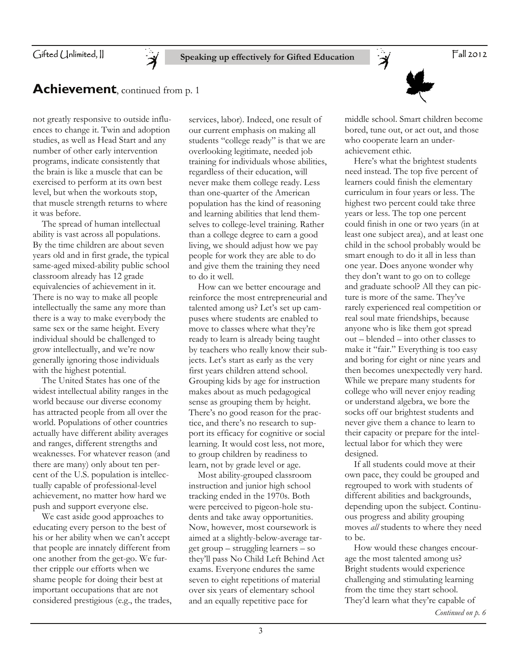Gifted Unlimited, II

# **Speaking up effectively for Gifted Education**

Fall 2012

# **Achievement**, continued from p. 1

not greatly responsive to outside influences to change it. Twin and adoption studies, as well as Head Start and any number of other early intervention programs, indicate consistently that the brain is like a muscle that can be exercised to perform at its own best level, but when the workouts stop, that muscle strength returns to where it was before.

 The spread of human intellectual ability is vast across all populations. By the time children are about seven years old and in first grade, the typical same-aged mixed-ability public school classroom already has 12 grade equivalencies of achievement in it. There is no way to make all people intellectually the same any more than there is a way to make everybody the same sex or the same height. Every individual should be challenged to grow intellectually, and we're now generally ignoring those individuals with the highest potential.

 The United States has one of the widest intellectual ability ranges in the world because our diverse economy has attracted people from all over the world. Populations of other countries actually have different ability averages and ranges, different strengths and weaknesses. For whatever reason (and there are many) only about ten percent of the U.S. population is intellectually capable of professional-level achievement, no matter how hard we push and support everyone else.

 We cast aside good approaches to educating every person to the best of his or her ability when we can't accept that people are innately different from one another from the get-go. We further cripple our efforts when we shame people for doing their best at important occupations that are not considered prestigious (e.g., the trades,

services, labor). Indeed, one result of our current emphasis on making all students "college ready" is that we are overlooking legitimate, needed job training for individuals whose abilities, regardless of their education, will never make them college ready. Less than one-quarter of the American population has the kind of reasoning and learning abilities that lend themselves to college-level training. Rather than a college degree to earn a good living, we should adjust how we pay people for work they are able to do and give them the training they need to do it well.

 How can we better encourage and reinforce the most entrepreneurial and talented among us? Let's set up campuses where students are enabled to move to classes where what they're ready to learn is already being taught by teachers who really know their subjects. Let's start as early as the very first years children attend school. Grouping kids by age for instruction makes about as much pedagogical sense as grouping them by height. There's no good reason for the practice, and there's no research to support its efficacy for cognitive or social learning. It would cost less, not more, to group children by readiness to learn, not by grade level or age.

 Most ability-grouped classroom instruction and junior high school tracking ended in the 1970s. Both were perceived to pigeon-hole students and take away opportunities. Now, however, most coursework is aimed at a slightly-below-average target group – struggling learners – so they'll pass No Child Left Behind Act exams. Everyone endures the same seven to eight repetitions of material over six years of elementary school and an equally repetitive pace for

3

middle school. Smart children become bored, tune out, or act out, and those who cooperate learn an underachievement ethic.

 $\ddot{\mathcal{A}}$ 

 Here's what the brightest students need instead. The top five percent of learners could finish the elementary curriculum in four years or less. The highest two percent could take three years or less. The top one percent could finish in one or two years (in at least one subject area), and at least one child in the school probably would be smart enough to do it all in less than one year. Does anyone wonder why they don't want to go on to college and graduate school? All they can picture is more of the same. They've rarely experienced real competition or real soul mate friendships, because anyone who is like them got spread out – blended – into other classes to make it "fair." Everything is too easy and boring for eight or nine years and then becomes unexpectedly very hard. While we prepare many students for college who will never enjoy reading or understand algebra, we bore the socks off our brightest students and never give them a chance to learn to their capacity or prepare for the intellectual labor for which they were designed.

 If all students could move at their own pace, they could be grouped and regrouped to work with students of different abilities and backgrounds, depending upon the subject. Continuous progress and ability grouping moves *all* students to where they need to be.

 How would these changes encourage the most talented among us? Bright students would experience challenging and stimulating learning from the time they start school. They'd learn what they're capable of *Continued on p. 6*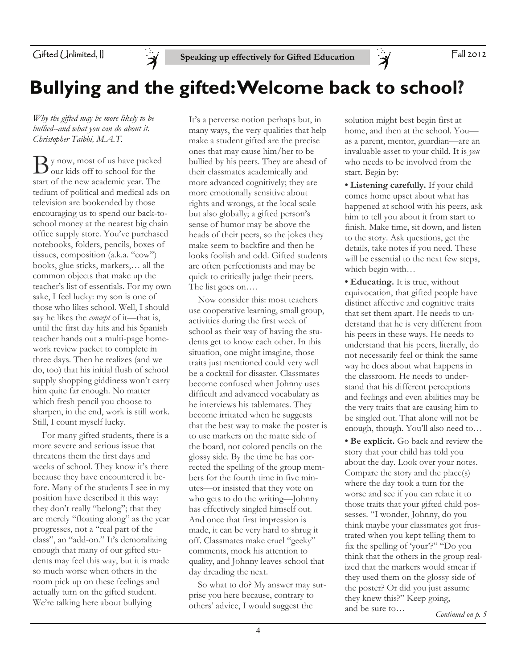

# **Bullying and the gifted: Welcome back to school?**

*Why the gifted may be more likely to be bullied--and what you can do about it. Christopher Taibbi, M.A.T.* 

y now, most of us have packed our kids off to school for the start of the new academic year. The tedium of political and medical ads on television are bookended by those encouraging us to spend our back-toschool money at the nearest big chain office supply store. You've purchased notebooks, folders, pencils, boxes of tissues, composition (a.k.a. "cow") books, glue sticks, markers,… all the common objects that make up the teacher's list of essentials. For my own sake, I feel lucky: my son is one of those who likes school. Well, I should say he likes the *concept* of it—that is, until the first day hits and his Spanish teacher hands out a multi-page homework review packet to complete in three days. Then he realizes (and we do, too) that his initial flush of school supply shopping giddiness won't carry him quite far enough. No matter which fresh pencil you choose to sharpen, in the end, work is still work. Still, I count myself lucky.

 For many gifted students, there is a more severe and serious issue that threatens them the first days and weeks of school. They know it's there because they have encountered it before. Many of the students I see in my position have described it this way: they don't really "belong"; that they are merely "floating along" as the year progresses, not a "real part of the class", an "add-on." It's demoralizing enough that many of our gifted students may feel this way, but it is made so much worse when others in the room pick up on these feelings and actually turn on the gifted student. We're talking here about bullying

It's a perverse notion perhaps but, in many ways, the very qualities that help make a student gifted are the precise ones that may cause him/her to be bullied by his peers. They are ahead of their classmates academically and more advanced cognitively; they are more emotionally sensitive about rights and wrongs, at the local scale but also globally; a gifted person's sense of humor may be above the heads of their peers, so the jokes they make seem to backfire and then he looks foolish and odd. Gifted students are often perfectionists and may be quick to critically judge their peers. The list goes on….

 Now consider this: most teachers use cooperative learning, small group, activities during the first week of school as their way of having the students get to know each other. In this situation, one might imagine, those traits just mentioned could very well be a cocktail for disaster. Classmates become confused when Johnny uses difficult and advanced vocabulary as he interviews his tablemates. They become irritated when he suggests that the best way to make the poster is to use markers on the matte side of the board, not colored pencils on the glossy side. By the time he has corrected the spelling of the group members for the fourth time in five minutes—or insisted that they vote on who gets to do the writing—Johnny has effectively singled himself out. And once that first impression is made, it can be very hard to shrug it off. Classmates make cruel "geeky" comments, mock his attention to quality, and Johnny leaves school that day dreading the next.

 So what to do? My answer may surprise you here because, contrary to others' advice, I would suggest the

solution might best begin first at home, and then at the school. You as a parent, mentor, guardian—are an invaluable asset to your child. It is *you* who needs to be involved from the start. Begin by:

 $\mathcal{A}$ 

**• Listening carefully.** If your child comes home upset about what has happened at school with his peers, ask him to tell you about it from start to finish. Make time, sit down, and listen to the story. Ask questions, get the details, take notes if you need. These will be essential to the next few steps, which begin with…

**• Educating.** It is true, without equivocation, that gifted people have distinct affective and cognitive traits that set them apart. He needs to understand that he is very different from his peers in these ways. He needs to understand that his peers, literally, do not necessarily feel or think the same way he does about what happens in the classroom. He needs to understand that his different perceptions and feelings and even abilities may be the very traits that are causing him to be singled out. That alone will not be enough, though. You'll also need to…

**• Be explicit.** Go back and review the story that your child has told you about the day. Look over your notes. Compare the story and the place(s) where the day took a turn for the worse and see if you can relate it to those traits that your gifted child possesses. "I wonder, Johnny, do you think maybe your classmates got frustrated when you kept telling them to fix the spelling of 'your'?" "Do you think that the others in the group realized that the markers would smear if they used them on the glossy side of the poster? Or did you just assume they knew this?" Keep going, and be sure to…

*Continued on p. 5*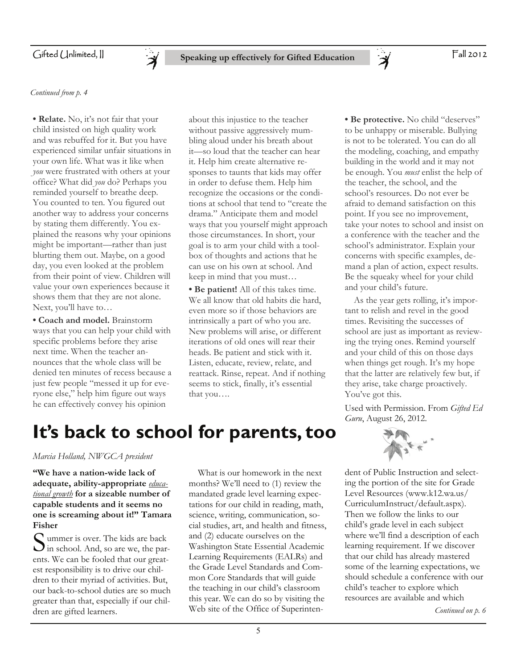

*Continued from p. 4* 

**• Relate.** No, it's not fair that your child insisted on high quality work and was rebuffed for it. But you have experienced similar unfair situations in your own life. What was it like when *you* were frustrated with others at your office? What did *you* do? Perhaps you reminded yourself to breathe deep. You counted to ten. You figured out another way to address your concerns by stating them differently. You explained the reasons why your opinions might be important—rather than just blurting them out. Maybe, on a good day, you even looked at the problem from their point of view. Children will value your own experiences because it shows them that they are not alone. Next, you'll have to…

**• Coach and model.** Brainstorm ways that you can help your child with specific problems before they arise next time. When the teacher announces that the whole class will be denied ten minutes of recess because a just few people "messed it up for everyone else," help him figure out ways he can effectively convey his opinion

about this injustice to the teacher without passive aggressively mumbling aloud under his breath about it—so loud that the teacher can hear it. Help him create alternative responses to taunts that kids may offer in order to defuse them. Help him recognize the occasions or the conditions at school that tend to "create the drama." Anticipate them and model ways that you yourself might approach those circumstances. In short, your goal is to arm your child with a toolbox of thoughts and actions that he can use on his own at school. And keep in mind that you must…

**• Be patient!** All of this takes time. We all know that old habits die hard, even more so if those behaviors are intrinsically a part of who you are. New problems will arise, or different iterations of old ones will rear their heads. Be patient and stick with it. Listen, educate, review, relate, and reattack. Rinse, repeat. And if nothing seems to stick, finally, it's essential that you….

**• Be protective.** No child "deserves" to be unhappy or miserable. Bullying is not to be tolerated. You can do all the modeling, coaching, and empathy building in the world and it may not be enough. You *must* enlist the help of the teacher, the school, and the school's resources. Do not ever be afraid to demand satisfaction on this point. If you see no improvement, take your notes to school and insist on a conference with the teacher and the school's administrator. Explain your concerns with specific examples, demand a plan of action, expect results. Be the squeaky wheel for your child and your child's future.

 As the year gets rolling, it's important to relish and revel in the good times. Revisiting the successes of school are just as important as reviewing the trying ones. Remind yourself and your child of this on those days when things get rough. It's my hope that the latter are relatively few but, if they arise, take charge proactively. You've got this.

Used with Permission. From *Gifted Ed Guru*, August 26, 2012.

# **It's back to school for parents, too**

# *Marcia Holland, NWGCA president*

**"We have a nation-wide lack of adequate, ability-appropriate** *educational growth* **for a sizeable number of capable students and it seems no one is screaming about it!" Tamara Fisher**

S ummer is over. The kids are back  $\bigcup$  in school. And, so are we, the parents. We can be fooled that our greatest responsibility is to drive our children to their myriad of activities. But, our back-to-school duties are so much greater than that, especially if our children are gifted learners.

 What is our homework in the next months? We'll need to (1) review the mandated grade level learning expectations for our child in reading, math, science, writing, communication, social studies, art, and health and fitness, and (2) educate ourselves on the Washington State Essential Academic Learning Requirements (EALRs) and the Grade Level Standards and Common Core Standards that will guide the teaching in our child's classroom this year. We can do so by visiting the Web site of the Office of Superinten-



dent of Public Instruction and selecting the portion of the site for Grade Level Resources (www.k12.wa.us/ CurriculumInstruct/default.aspx). Then we follow the links to our child's grade level in each subject where we'll find a description of each learning requirement. If we discover that our child has already mastered some of the learning expectations, we should schedule a conference with our child's teacher to explore which resources are available and which

*Continued on p. 6*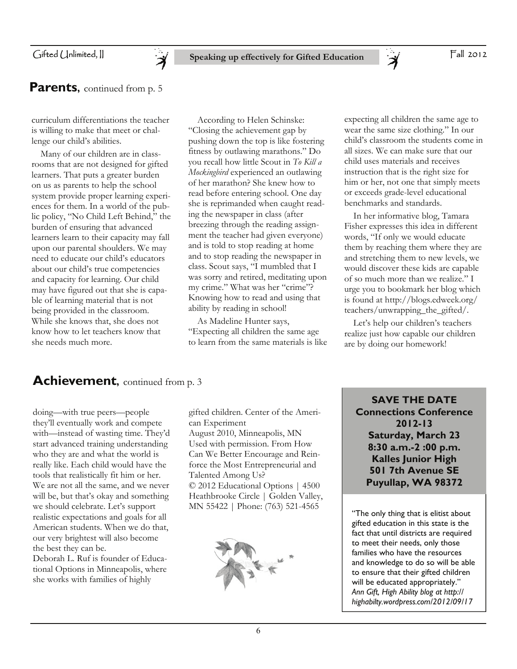# Gifted (Jnlimited, II



curriculum differentiations the teacher is willing to make that meet or challenge our child's abilities.

 Many of our children are in classrooms that are not designed for gifted learners. That puts a greater burden on us as parents to help the school system provide proper learning experiences for them. In a world of the public policy, "No Child Left Behind," the burden of ensuring that advanced learners learn to their capacity may fall upon our parental shoulders. We may need to educate our child's educators about our child's true competencies and capacity for learning. Our child may have figured out that she is capable of learning material that is not being provided in the classroom. While she knows that, she does not know how to let teachers know that she needs much more.

 According to Helen Schinske: "Closing the achievement gap by pushing down the top is like fostering fitness by outlawing marathons." Do you recall how little Scout in *To Kill a Mockingbird* experienced an outlawing of her marathon? She knew how to read before entering school. One day she is reprimanded when caught reading the newspaper in class (after breezing through the reading assignment the teacher had given everyone) and is told to stop reading at home and to stop reading the newspaper in class. Scout says, "I mumbled that I was sorry and retired, meditating upon my crime." What was her "crime"? Knowing how to read and using that ability by reading in school!

 As Madeline Hunter says, "Expecting all children the same age to learn from the same materials is like

expecting all children the same age to wear the same size clothing." In our child's classroom the students come in all sizes. We can make sure that our child uses materials and receives instruction that is the right size for him or her, not one that simply meets or exceeds grade-level educational benchmarks and standards.

 In her informative blog, Tamara Fisher expresses this idea in different words, "If only we would educate them by reaching them where they are and stretching them to new levels, we would discover these kids are capable of so much more than we realize." I urge you to bookmark her blog which is found at http://blogs.edweek.org/ teachers/unwrapping\_the\_gifted/.

 Let's help our children's teachers realize just how capable our children are by doing our homework!

# Achievement, continued from p. 3

doing—with true peers—people they'll eventually work and compete with—instead of wasting time. They'd start advanced training understanding who they are and what the world is really like. Each child would have the tools that realistically fit him or her. We are not all the same, and we never will be, but that's okay and something we should celebrate. Let's support realistic expectations and goals for all American students. When we do that, our very brightest will also become the best they can be. Deborah L. Ruf is founder of Educa-

tional Options in Minneapolis, where she works with families of highly

gifted children. Center of the American Experiment

August 2010, Minneapolis, MN Used with permission. From How Can We Better Encourage and Reinforce the Most Entrepreneurial and Talented Among Us? © 2012 Educational Options | 4500 Heathbrooke Circle | Golden Valley, MN 55422 | Phone: (763) 521-4565



**SAVE THE DATE Connections Conference 2012-13 Saturday, March 23 8:30 a.m.-2 :00 p.m. Kalles Junior High 501 7th Avenue SE Puyullap, WA 98372** 

"The only thing that is elitist about gifted education in this state is the fact that until districts are required to meet their needs, only those families who have the resources and knowledge to do so will be able to ensure that their gifted children will be educated appropriately." *Ann Gift, High Ability blog at http:// highabilty.wordpress.com/2012/09/17*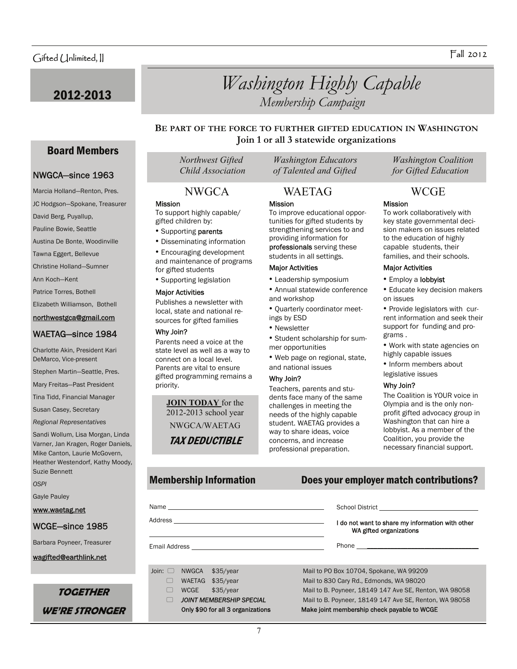Board Members

NWGCA—since 1963 Marcia Holland—Renton, Pres. JC Hodgson—Spokane, Treasurer

David Berg, Puyallup, Pauline Bowie, Seattle Austina De Bonte, Woodinville Tawna Eggert, Bellevue Christine Holland—Sumner

Ann Koch—Kent Patrice Torres, Bothell Elizabeth Williamson, Bothell northwestgca@gmail.com WAETAG—since 1984 Charlotte Akin, President Kari DeMarco, Vice-present

Stephen Martin—Seattle, Pres. Mary Freitas—Past President Tina Tidd, Financial Manager Susan Casey, Secretary *Regional Representatives* 

Sandi Wollum, Lisa Morgan, Linda Varner, Jan Kragen, Roger Daniels, Mike Canton, Laurie McGovern, Heather Westendorf, Kathy Moody,

Suzie Bennett

Gayle Pauley www.waetag.net

WCGE—since 1985 Barbara Poyneer, Treasurer wagifted@earthlink.net

*OSPI* 

# 2012-2013 *Washington Highly Capable Membership Campaign*

# **BE PART OF THE FORCE TO FURTHER GIFTED EDUCATION IN WASHINGTON Join 1 or all 3 statewide organizations**

### Mission

To support highly capable/ gifted children by:

- Supporting parents
- Disseminating information

• Encouraging development and maintenance of programs for gifted students

• Supporting legislation

### Major Activities

Publishes a newsletter with local, state and national resources for gifted families

### Why Join?

Parents need a voice at the state level as well as a way to connect on a local level. Parents are vital to ensure gifted programming remains a priority.

**JOIN TODAY** for the 2012-2013 school year NWGCA/WAETAG

TAX DEDUCTIBLE

# Mission NWGCA WAETAG WCGE

To improve educational opportunities for gifted students by strengthening services to and providing information for professionals serving these students in all settings.

# Major Activities

- Leadership symposium
- Annual statewide conference and workshop
- Quarterly coordinator meetings by ESD
- Newsletter
- Student scholarship for summer opportunities
- Web page on regional, state, and national issues

### Why Join?

Teachers, parents and students face many of the same challenges in meeting the needs of the highly capable student. WAETAG provides a way to share ideas, voice concerns, and increase professional preparation.

 *Northwest Gifted Washington Educators Washington Coalition Child Association of Talented and Gifted for Gifted Education* 

### Mission

To work collaboratively with key state governmental decision makers on issues related to the education of highly capable students, their families, and their schools.

### Major Activities

- Employ a lobbyist
- Educate key decision makers on issues
- Provide legislators with current information and seek their support for funding and programs .
- Work with state agencies on highly capable issues
- Inform members about
- legislative issues

### Why Join?

The Coalition is YOUR voice in Olympia and is the only nonprofit gifted advocacy group in Washington that can hire a lobbyist. As a member of the Coalition, you provide the necessary financial support.

# Membership Information Does your employer match contributions?

|                                                                                                                                                                                                                                | I do not want to share my information with other<br>WA gifted organizations |
|--------------------------------------------------------------------------------------------------------------------------------------------------------------------------------------------------------------------------------|-----------------------------------------------------------------------------|
| Email Address and the control of the control of the control of the control of the control of the control of the control of the control of the control of the control of the control of the control of the control of the contr |                                                                             |
|                                                                                                                                                                                                                                |                                                                             |
| Join: $\Box$<br>NWGCA<br>\$35/year                                                                                                                                                                                             | Mail to PO Box 10704, Spokane, WA 99209                                     |
| \$35/year<br><b>WAETAG</b>                                                                                                                                                                                                     | Mail to 830 Cary Rd., Edmonds, WA 98020                                     |
| <b>WCGE</b><br>\$35/year                                                                                                                                                                                                       | Mail to B. Poyneer, 18149 147 Ave SE, Renton, WA 98058                      |
| <b>JOINT MEMBERSHIP SPECIAL</b>                                                                                                                                                                                                | Mail to B. Poyneer, 18149 147 Ave SE, Renton, WA 98058                      |

Only \$90 for all 3 organizations Make joint membership check payable to WCGE

**WE'RE STRONGER** 

**TOGETHER** 

### 7